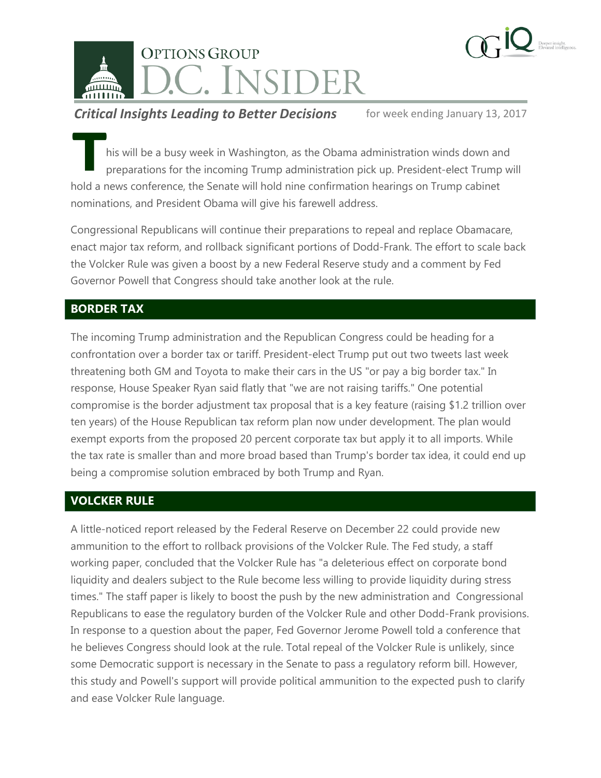



his will be a busy week in Washington, as the Obama administration winds down and preparations for the incoming Trump administration pick up. President-elect Trump will his will be a busy week in Washington, as the Obama administration winds down an preparations for the incoming Trump administration pick up. President-elect Trump hold a news conference, the Senate will hold nine confirmat nominations, and President Obama will give his farewell address.

Congressional Republicans will continue their preparations to repeal and replace Obamacare, enact major tax reform, and rollback significant portions of Dodd-Frank. The effort to scale back the Volcker Rule was given a boost by a new Federal Reserve study and a comment by Fed Governor Powell that Congress should take another look at the rule.

# **BORDER TAX**

The incoming Trump administration and the Republican Congress could be heading for a confrontation over a border tax or tariff. President-elect Trump put out two tweets last week threatening both GM and Toyota to make their cars in the US "or pay a big border tax." In response, House Speaker Ryan said flatly that "we are not raising tariffs." One potential compromise is the border adjustment tax proposal that is a key feature (raising \$1.2 trillion over ten years) of the House Republican tax reform plan now under development. The plan would exempt exports from the proposed 20 percent corporate tax but apply it to all imports. While the tax rate is smaller than and more broad based than Trump's border tax idea, it could end up being a compromise solution embraced by both Trump and Ryan.

## **VOLCKER RULE**

A little-noticed report released by the Federal Reserve on December 22 could provide new ammunition to the effort to rollback provisions of the Volcker Rule. The Fed study, a staff working paper, concluded that the Volcker Rule has "a deleterious effect on corporate bond liquidity and dealers subject to the Rule become less willing to provide liquidity during stress times." The staff paper is likely to boost the push by the new administration and Congressional Republicans to ease the regulatory burden of the Volcker Rule and other Dodd-Frank provisions. In response to a question about the paper, Fed Governor Jerome Powell told a conference that he believes Congress should look at the rule. Total repeal of the Volcker Rule is unlikely, since some Democratic support is necessary in the Senate to pass a regulatory reform bill. However, this study and Powell's support will provide political ammunition to the expected push to clarify and ease Volcker Rule language.